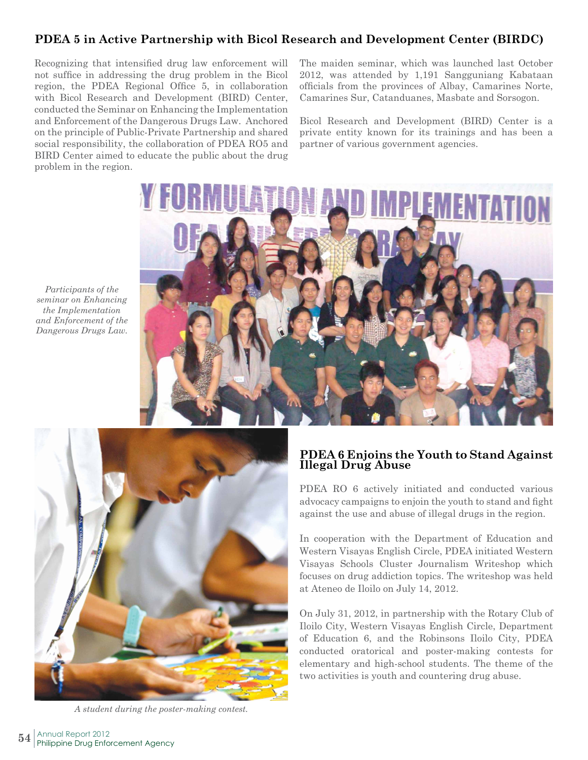# **PDEA 5 in Active Partnership with Bicol Research and Development Center (BIRDC)**

Recognizing that intensified drug law enforcement will not suffice in addressing the drug problem in the Bicol region, the PDEA Regional Office 5, in collaboration with Bicol Research and Development (BIRD) Center, conducted the Seminar on Enhancing the Implementation and Enforcement of the Dangerous Drugs Law. Anchored on the principle of Public-Private Partnership and shared social responsibility, the collaboration of PDEA RO5 and BIRD Center aimed to educate the public about the drug problem in the region.

The maiden seminar, which was launched last October 2012, was attended by 1,191 Sangguniang Kabataan officials from the provinces of Albay, Camarines Norte, Camarines Sur, Catanduanes, Masbate and Sorsogon.

Bicol Research and Development (BIRD) Center is a private entity known for its trainings and has been a partner of various government agencies.



*Participants of the seminar on Enhancing the Implementation and Enforcement of the Dangerous Drugs Law.*



*A student during the poster-making contest.*

#### **PDEA 6 Enjoins the Youth to Stand Against Illegal Drug Abuse**

PDEA RO 6 actively initiated and conducted various advocacy campaigns to enjoin the youth to stand and fight against the use and abuse of illegal drugs in the region.

In cooperation with the Department of Education and Western Visayas English Circle, PDEA initiated Western Visayas Schools Cluster Journalism Writeshop which focuses on drug addiction topics. The writeshop was held at Ateneo de Iloilo on July 14, 2012.

On July 31, 2012, in partnership with the Rotary Club of Iloilo City, Western Visayas English Circle, Department of Education 6, and the Robinsons Iloilo City, PDEA conducted oratorical and poster-making contests for elementary and high-school students. The theme of the two activities is youth and countering drug abuse.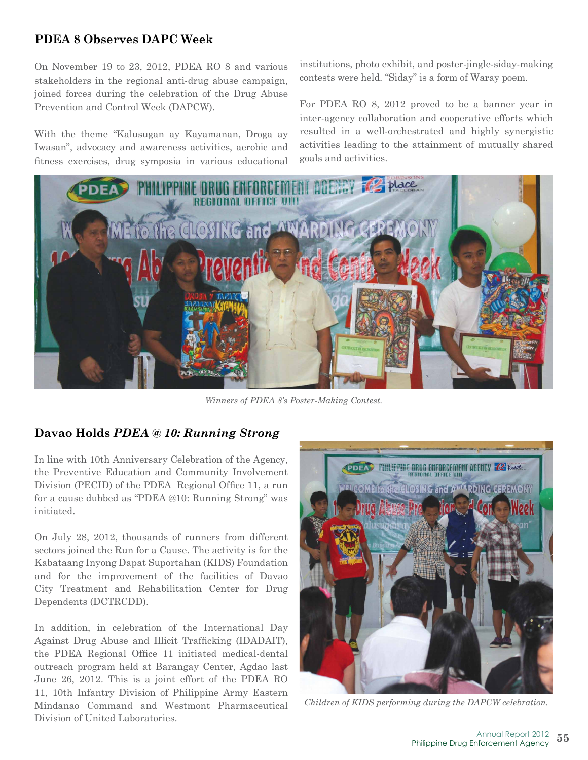#### **PDEA 8 Observes DAPC Week**

On November 19 to 23, 2012, PDEA RO 8 and various stakeholders in the regional anti-drug abuse campaign, joined forces during the celebration of the Drug Abuse Prevention and Control Week (DAPCW).

With the theme "Kalusugan ay Kayamanan, Droga ay Iwasan", advocacy and awareness activities, aerobic and fitness exercises, drug symposia in various educational institutions, photo exhibit, and poster-jingle-siday-making contests were held. "Siday" is a form of Waray poem.

For PDEA RO 8, 2012 proved to be a banner year in inter-agency collaboration and cooperative efforts which resulted in a well-orchestrated and highly synergistic activities leading to the attainment of mutually shared goals and activities.



*Winners of PDEA 8's Poster-Making Contest.*

#### **Davao Holds** *PDEA @ 10: Running Strong*

In line with 10th Anniversary Celebration of the Agency, the Preventive Education and Community Involvement Division (PECID) of the PDEA Regional Office 11, a run for a cause dubbed as "PDEA @10: Running Strong" was initiated.

On July 28, 2012, thousands of runners from different sectors joined the Run for a Cause. The activity is for the Kabataang Inyong Dapat Suportahan (KIDS) Foundation and for the improvement of the facilities of Davao City Treatment and Rehabilitation Center for Drug Dependents (DCTRCDD).

In addition, in celebration of the International Day Against Drug Abuse and Illicit Trafficking (IDADAIT), the PDEA Regional Office 11 initiated medical-dental outreach program held at Barangay Center, Agdao last June 26, 2012. This is a joint effort of the PDEA RO 11, 10th Infantry Division of Philippine Army Eastern Mindanao Command and Westmont Pharmaceutical Division of United Laboratories.



*Children of KIDS performing during the DAPCW celebration.*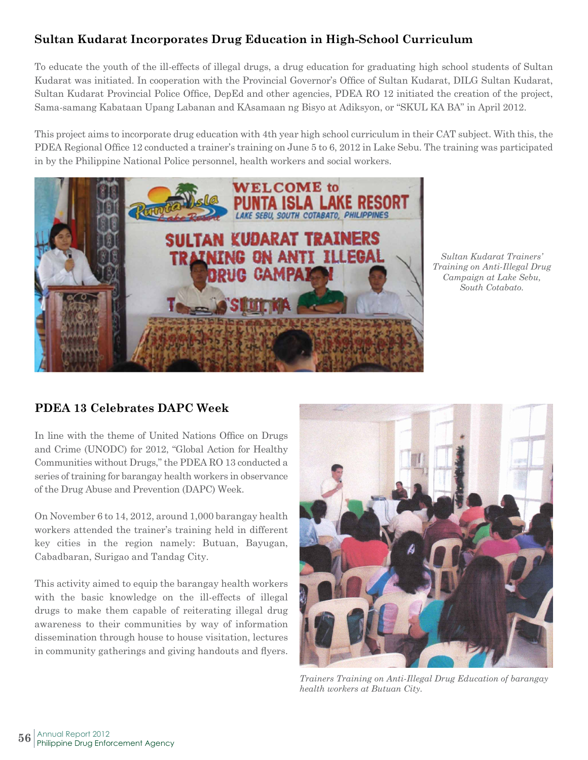# **Sultan Kudarat Incorporates Drug Education in High-School Curriculum**

To educate the youth of the ill-effects of illegal drugs, a drug education for graduating high school students of Sultan Kudarat was initiated. In cooperation with the Provincial Governor's Office of Sultan Kudarat, DILG Sultan Kudarat, Sultan Kudarat Provincial Police Office, DepEd and other agencies, PDEA RO 12 initiated the creation of the project, Sama-samang Kabataan Upang Labanan and KAsamaan ng Bisyo at Adiksyon, or "SKUL KA BA" in April 2012.

This project aims to incorporate drug education with 4th year high school curriculum in their CAT subject. With this, the PDEA Regional Office 12 conducted a trainer's training on June 5 to 6, 2012 in Lake Sebu. The training was participated in by the Philippine National Police personnel, health workers and social workers.



*Sultan Kudarat Trainers' Training on Anti-Illegal Drug Campaign at Lake Sebu, South Cotabato.*

# **PDEA 13 Celebrates DAPC Week**

In line with the theme of United Nations Office on Drugs and Crime (UNODC) for 2012, "Global Action for Healthy Communities without Drugs," the PDEA RO 13 conducted a series of training for barangay health workers in observance of the Drug Abuse and Prevention (DAPC) Week.

On November 6 to 14, 2012, around 1,000 barangay health workers attended the trainer's training held in different key cities in the region namely: Butuan, Bayugan, Cabadbaran, Surigao and Tandag City.

This activity aimed to equip the barangay health workers with the basic knowledge on the ill-effects of illegal drugs to make them capable of reiterating illegal drug awareness to their communities by way of information dissemination through house to house visitation, lectures in community gatherings and giving handouts and flyers.



*Trainers Training on Anti-Illegal Drug Education of barangay health workers at Butuan City.*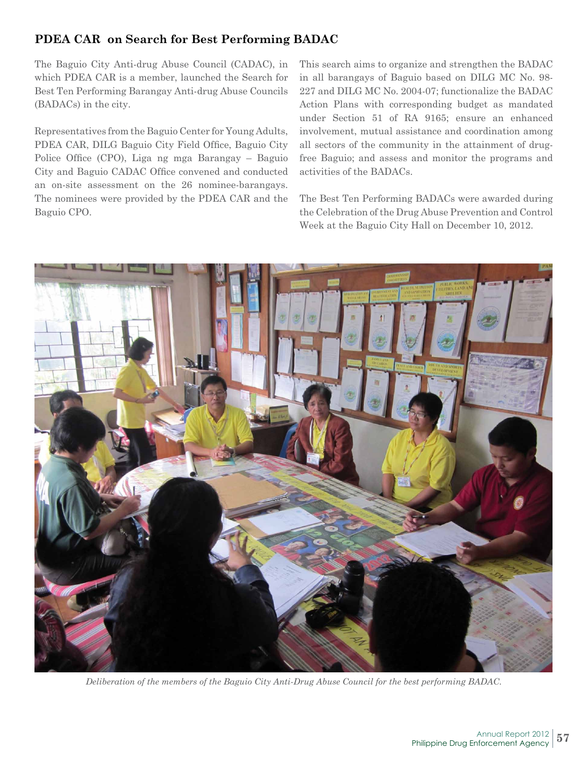# **PDEA CAR on Search for Best Performing BADAC**

The Baguio City Anti-drug Abuse Council (CADAC), in which PDEA CAR is a member, launched the Search for Best Ten Performing Barangay Anti-drug Abuse Councils (BADACs) in the city.

Representatives from the Baguio Center for Young Adults, PDEA CAR, DILG Baguio City Field Office, Baguio City Police Office (CPO), Liga ng mga Barangay – Baguio City and Baguio CADAC Office convened and conducted an on-site assessment on the 26 nominee-barangays. The nominees were provided by the PDEA CAR and the Baguio CPO.

This search aims to organize and strengthen the BADAC in all barangays of Baguio based on DILG MC No. 98- 227 and DILG MC No. 2004-07; functionalize the BADAC Action Plans with corresponding budget as mandated under Section 51 of RA 9165; ensure an enhanced involvement, mutual assistance and coordination among all sectors of the community in the attainment of drugfree Baguio; and assess and monitor the programs and activities of the BADACs.

The Best Ten Performing BADACs were awarded during the Celebration of the Drug Abuse Prevention and Control Week at the Baguio City Hall on December 10, 2012.



*Deliberation of the members of the Baguio City Anti-Drug Abuse Council for the best performing BADAC.*